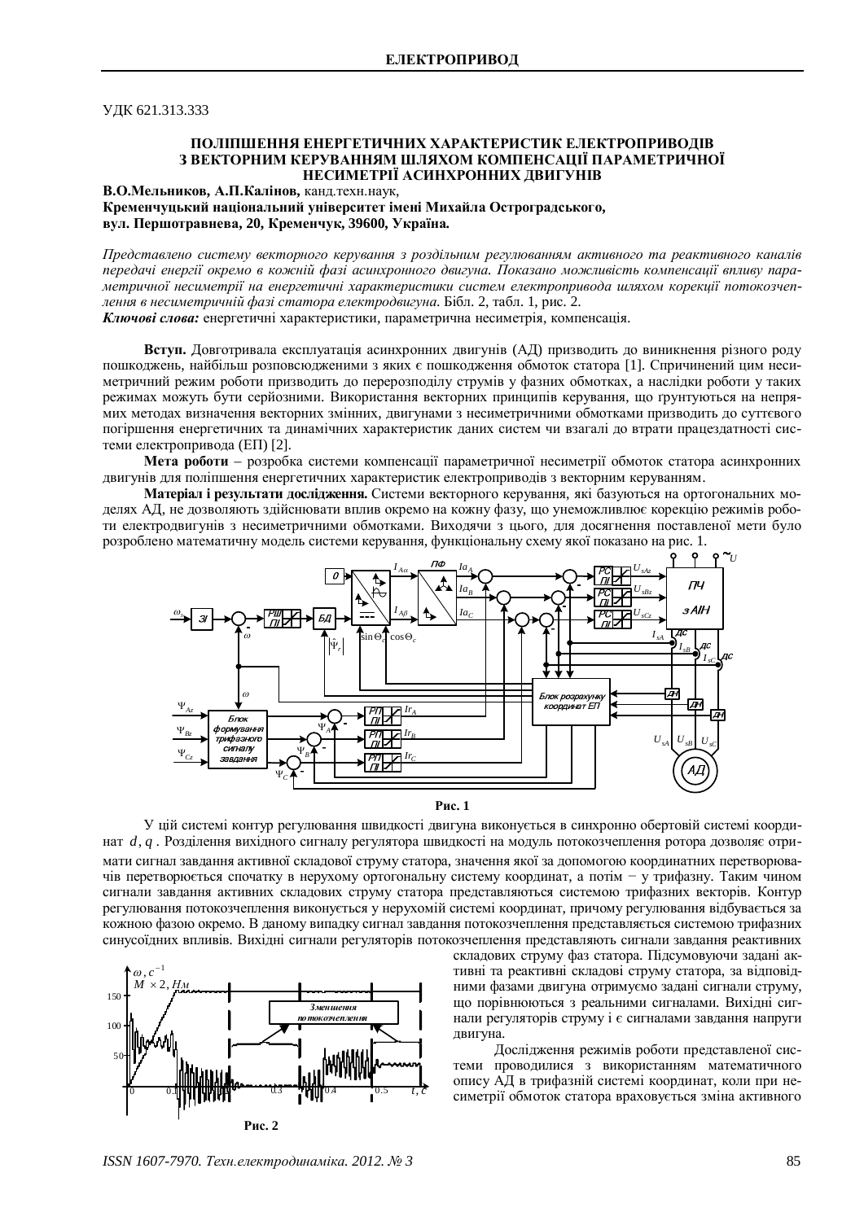ɍȾɄ 621.313.333

## ПОЛІПШЕННЯ ЕНЕРГЕТИЧНИХ ХАРАКТЕРИСТИК ЕЛЕКТРОПРИВОЛІВ З ВЕКТОРНИМ КЕРУВАННЯМ ШЛЯХОМ КОМПЕНСАНІЇ ПАРАМЕТРИЧНОЇ НЕСИМЕТРІЇ АСИНХРОННИХ ЛВИГУНІВ

В.О.Мельников, А.П.Калінов, канд.техн.наук, Кременчуцький національний університет імені Михайла Остроградського,  $B$ ул. Першотравнева, 20, Кременчук, 39600, Україна.

*ɉɪɟɞɫɬɚɜɥɟɧɨ ɫɢɫɬɟɦɭ ɜɟɤɬɨɪɧɨɝɨ ɤɟɪɭɜɚɧɧɹ ɡ ɪɨɡɞɿɥɶɧɢɦ ɪɟɝɭɥɸɜɚɧɧɹɦ ɚɤɬɢɜɧɨɝɨɬɚ ɪɟɚɤɬɢɜɧɨɝɨ ɤɚɧɚɥɿɜ* передачі енергії окремо в кожній фазі асинхронного двигуна. Показано можливість компенсації впливу параметричної несиметрії на енергетичні характеристики систем електропривода шляхом корекції потокозчепдення в несиметричній фазі статора електродвигуна. Бібл. 2, табл. 1, рис. 2.

**Ключові слова:** енергетичні характеристики, параметрична несиметрія, компенсація.

**Вступ.** Довготривала експлуатація асинхронних двигунів (АД) призводить до виникнення різного роду пошкоджень, найбільш розповсюдженими з яких є пошкодження обмоток статора [1]. Спричинений цим несиметричний режим роботи призводить до перерозподілу струмів у фазних обмотках, а наслідки роботи у таких режимах можуть бути серйозними. Використання векторних принципів керування, що грунтуються на непрямих методах визначення векторних змінних, двигунами з несиметричними обмотками призводить до суттєвого погіршення енергетичних та динамічних характеристик даних систем чи взагалі до втрати працездатності системи електропривода (ЕП) [2].

Мета роботи – розробка системи компенсації параметричної несиметрії обмоток статора асинхронних двигунів для поліпшення енергетичних характеристик електроприводів з векторним керуванням.

Матеріал і результати лослідження. Системи векторного керування, які базуються на ортогональних моделях АД, не дозволяють здійснювати вплив окремо на кожну фазу, що унеможливлює корекцію режимів роботи електродвигунів з несиметричними обмотками. Виходячи з цього, для досягнення поставленої мети було розроблено математичну модель системи керування, функціональну схему якої показано на рис. 1.



**Рис. 1** 

У цій системі контур регулювання швидкості двигуна виконується в синхронно обертовій системі координат *d*, *q* . Розділення вихідного сигналу регулятора швидкості на модуль потокозчеплення ротора дозволяє отримати сигнал завдання активної складової струму статора, значення якої за допомогою координатних перетворювачів перетворюється спочатку в нерухому ортогональну систему координат, а потім - у трифазну. Таким чином сигнали завдання активних складових струму статора представляються системою трифазних векторів. Контур регулювання потокозчеплення виконується у нерухомій системі координат, причому регулювання відбувається за кожною фазою окремо. В даному випадку сигнал завдання потокозчеплення представляється системою трифазних синусоїдних впливів. Вихідні сигнали регуляторів потокозчеплення представляють сигнали завдання реактивних



складових струму фаз статора. Підсумовуючи задані активні та реактивні складові струму статора, за відповідними фазами двигуна отримуємо задані сигнали струму, що порівнюються з реальними сигналами. Вихідні сигнали регуляторів струму і є сигналами завдання напруги двигуна.

Дослідження режимів роботи представленої системи проводилися з використанням математичного опису АД в трифазній системі координат, коли при несиметрії обмоток статора враховується зміна активного

*ISSN 1607-7970. Техн.електродинаміка. 2012. № 3* 85